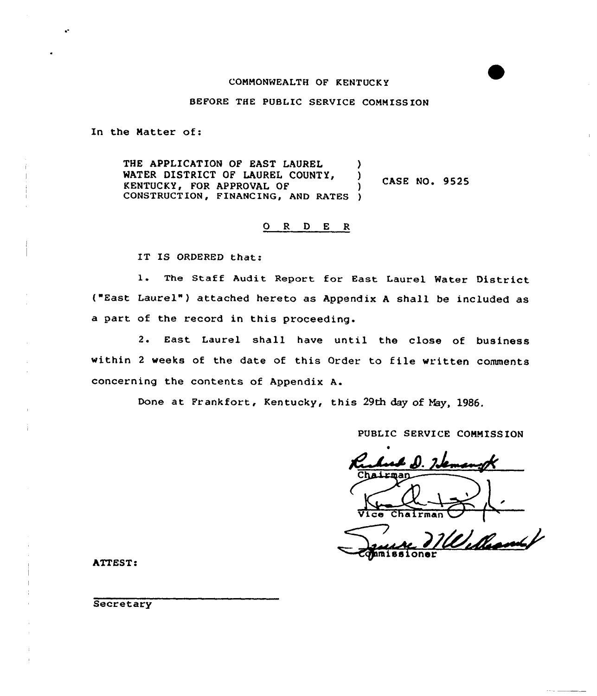## COMMONWEALTH OF KENTUCK Y

#### BEFORE THE PUBLIC SERVICE COMMISSION

In the Natter of:

THE APPLICATION OF EAST LAUREL WATER DISTRICT OF LAUREL COUNTY, ı **CASE NO. 9525** KENTUCKY, FOR APPROVAL OF ) CONSTRUCTION, FINANCING, AND RATES )

0 <sup>R</sup> <sup>D</sup> E R

IT IS ORDERED that:

1. The Staff Audit Report for East Laurel Water District ("East Laurel" ) attached hereto as Appendix <sup>A</sup> shall be included as a part of the record in this proceeding.

2. East Laurel shall have until the close of business within <sup>2</sup> weeks of the date of this Order to file written comments concerning the contents of Appendix A.

Done at Frankfort, Kentucky, this 29th day of May, 1986.

PUBLIC SERVICE COMMISSION

Vice Chairman ~

 $\mathscr{D}_\nu$ lhan

ATTEST:

**Secretary**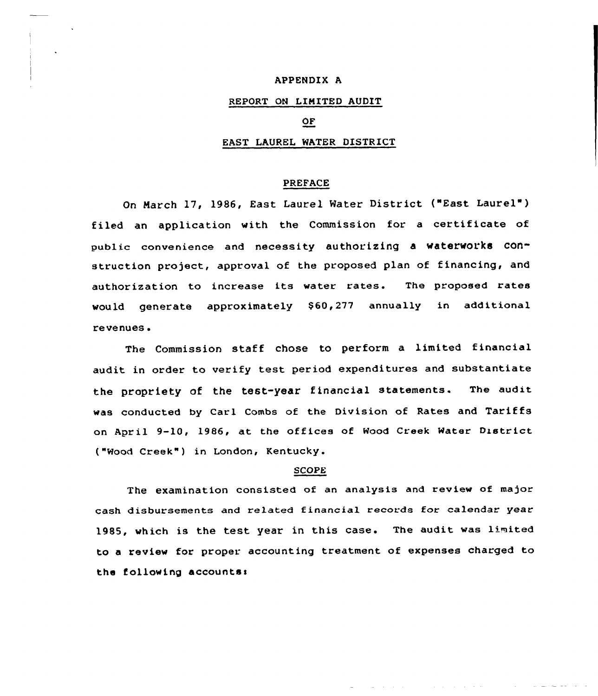## APPENDIX A

## REPORT ON LINITED AUDIT

# OF

#### EAST LAUREL WATER DISTRICT

#### PREFACE

On March 17, 1986, East Laurel Water District ("East Laurel" ) filed an application with the Commission for a certificate of public convenience and necessity authorizing a waterworks construction project, approval of the proposed plan of financing, and authorization to increase its water rates. The proposed rates would generate approximately \$60,277 annually in additional revenues <sup>~</sup>

The Commission staff chose to perform a limited financial audit in order to verify test period expenditures and substantiate the propriety of the test-year financial statements. The audit was conducted by Carl Combs of the Division of Rates and Tariffs on April 9-10, 1986, at the offices of Wood Creek Water District ("Wood Creek" ) in London, Kentucky.

#### SCOPE

The examination consisted of an analysis and review of major cash disbursements and related financial records for calendar year 1985, which is the test year in this ease. The audit was limited to <sup>a</sup> review for proper. accounting treatment of expenses charged to the following accounts:

**Contractor**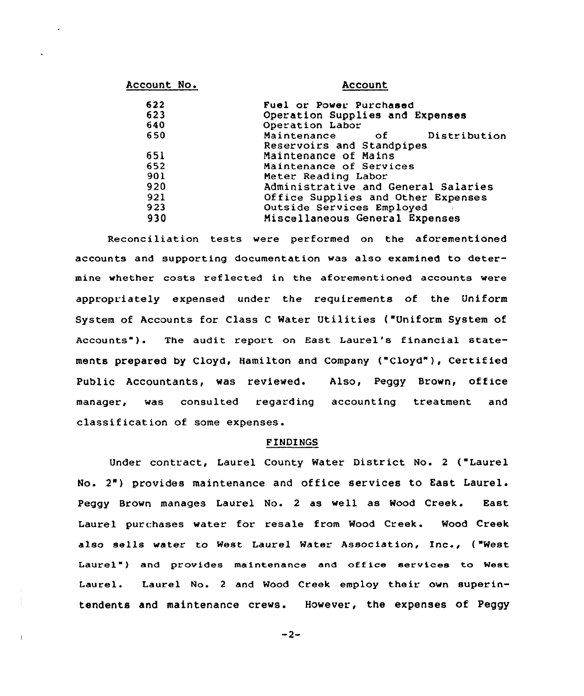| Account No. | Account<br>Fuel or Power Purchased       |  |  |  |
|-------------|------------------------------------------|--|--|--|
| 622         |                                          |  |  |  |
| 623         | Operation Supplies and Expenses          |  |  |  |
| 640         | Operation Labor                          |  |  |  |
| 650         | Maintenance<br>Distribution<br>$\circ$ f |  |  |  |
|             | Reservoirs and Standpipes                |  |  |  |
| 651         | Maintenance of Mains                     |  |  |  |
| 652         | Maintenance of Services                  |  |  |  |
| 901         | Meter Reading Labor                      |  |  |  |
| 920         | Administrative and General Salaries      |  |  |  |
| 921         | Office Supplies and Other Expenses       |  |  |  |
| 923         | Outside Services Employed                |  |  |  |
| 930         | Miscellaneous General Expenses           |  |  |  |
|             |                                          |  |  |  |

Reconciliation tests were performed on the aforementioned accounts and supporting documentation was also examined to determine whether costs reflected in the aforementioned accounts were appropriately expensed under the requirements of the Uniform System of Accounts for Class <sup>C</sup> Water Utilities ("Uniform System of Accounts" ). The audit report on East Laurel's financial statements prepared by Cloyd, Hamilton and Company ("Cloyd"), Certified Public Accountants, was reviewed. Also, Peggy Brown, office manager, was consulted regarding accounting treatment and classification of some expenses.

## FINDINGS

Under contract, Laurel County Water District No. <sup>2</sup> ("Laurel No. 2") provides maintenance and office services to East Laurel. Peggy Brown manages Laurel No. <sup>2</sup> as well as Wood Creek. East Laurel purchases water for resale from Wood Creek. Wood Creek also sells water to West Laurel Water Association, Inc., {"West Laurel") and provides maintenance and office services to West Laurel. Laurel No. <sup>2</sup> and Wood Creek employ their own superintendents and maintenance crews. However, the expenses of Peggy

 $-2-$ 

 $\overline{\phantom{a}}$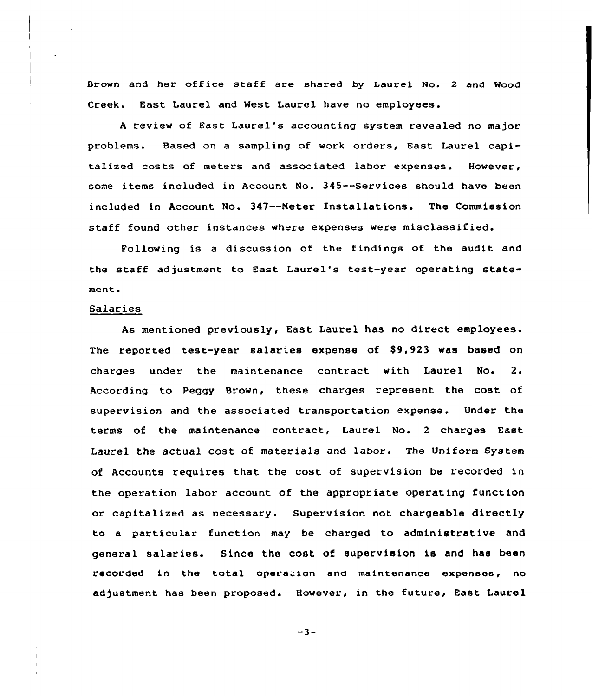Brown and her office staff are shared by Laurel No. 2 and Wood Creek. East Laurel and West Laurel have no employees.

<sup>A</sup> review of East Laurel's accounting system revealed no major problems. Based on a sampling of work orders, East Laurel capitalized costs of meters and associated labor expenses. However, some items included in Account No. 345--Services should have been included in Account No. 347--Meter Installations. The Commission staff found other instances where expenses were misclassified.

Following is a discussion of the findings of the audit and the staff adjustment to East Laurel's test-year operating statement.

#### Salaries

As mentioned previously, East Laurel has no direct employees. The reported test-year salaries expense of \$9,923 was based on charges under the maintenance contract with Laurel No.  $2.$ According to Peggy Brown, these charges represent the cost of supervision and the associated transportation expense. Under the terms of the maintenance contract, Laurel No. <sup>2</sup> charges East Laurel the actual cost of materials and labor. The Uniform System of Accounts requires that the cost of supervision be recorded in the operation labor account of the appropriate operating function or capitalized as necessary. Supervision not chargeable directly to a particular function may be charged to administrative and general salaries. Since the cost of supervision is and has been recorded in the total opera ion and maintenance expenses, no adjustment has been proposed. However, in the future, East Laurel

 $-3-$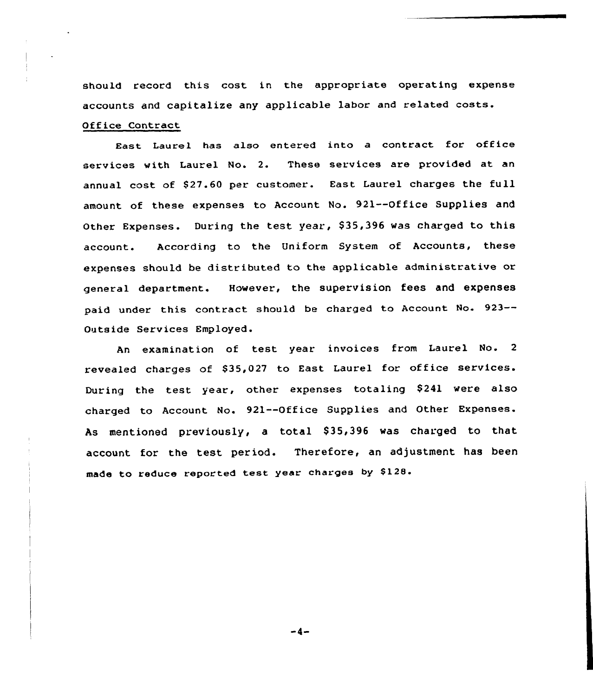should record this cost in the appropriate operating expense accounts and capitalize any applicable labor and related costs. Office Contract

East Laurel has also entered into <sup>a</sup> contract for office services with Laurel No. 2. These services are provided at an annual cost of \$27.60 per customer. East Laurel charges the full amount of these expenses to Account No. 921--Office Supplies and Other Expenses. During the test year, \$ 35,396 vas charged to this account. According to the Uniform System of Accounts, these expenses should be distributed to the applicable administrative or general department. However, the supervision fees and expenses paid under this contract should be charged to Account No. 923-- Outside Services Employed.

An examination of test year invoices from Laurel No. 2 revealed charges of \$35,027 to East Laurel for office services. During the test year, other expenses totaling \$241 were also charged to Account No. 921--Office Supplies and Other Expenses. As mentioned previously, a total \$35,396 was charged to that account for the test period. Therefore, an adjustment has been made to reduce reported test year charges by \$128.

 $-4-$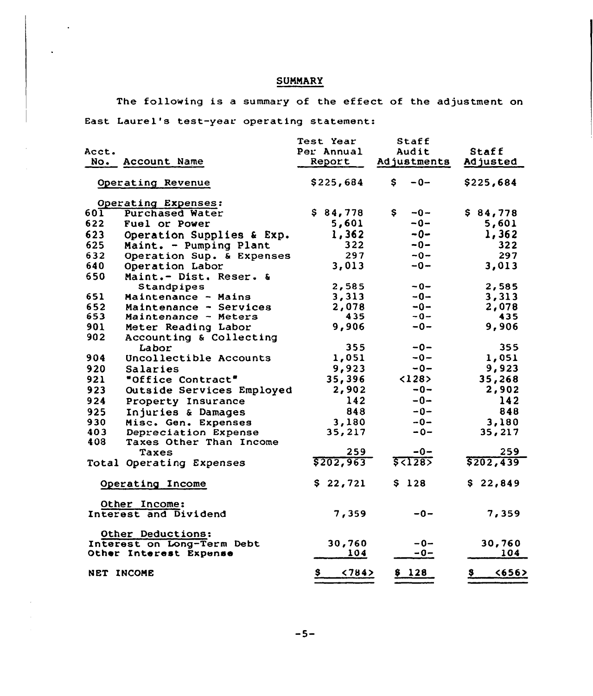# **SUMMARY**

The following is a summary of the effect of the adjustment on East Laurel's test-year operating statement:

| Acct.<br>No.                                    | Account Name              | Test Year<br>Per Annual<br>Report | Staff<br>Audit<br>Adjustments | <b>Staff</b><br>Adjusted          |
|-------------------------------------------------|---------------------------|-----------------------------------|-------------------------------|-----------------------------------|
| Operating Revenue                               |                           | \$225,684                         | $-0-$<br>\$.                  | \$225,684                         |
|                                                 | Operating Expenses:       |                                   |                               |                                   |
| 60T                                             | <b>Purchased Water</b>    | \$84,778                          | \$<br>$-0-$                   | \$84,778                          |
| 622                                             | Fuel or Power             | 5,601                             | $-0-$                         | 5,601                             |
| 623                                             | Operation Supplies & Exp. | 1,362                             | $-0-$                         | 1,362                             |
| 625                                             | Maint. - Pumping Plant    | 322                               | $-0-$                         | 322                               |
| 632                                             | Operation Sup. & Expenses | 297                               | $-0-$                         | 297                               |
| 640                                             | Operation Labor           | 3,013                             | $-0-$                         | 3,013                             |
| 650                                             | Maint.- Dist. Reser. &    |                                   |                               |                                   |
|                                                 | Standpipes                | 2,585                             | $-0-$                         | 2,585                             |
| 651                                             | Maintenance - Mains       | 3,313                             | --0                           | 3,313                             |
| 652                                             | Maintenance - Services    | 2,078                             | $-0-$                         | 2,078                             |
| 653                                             | Maintenance - Meters      | 435                               | $-0-$                         | 435                               |
| 901                                             | Meter Reading Labor       | 9,906                             | $-0-$                         | 9,906                             |
| 902                                             | Accounting & Collecting   |                                   |                               |                                   |
|                                                 | Labor                     | 355                               | $-0-$                         | 355                               |
| 904                                             | Uncollectible Accounts    | 1,051                             | $-0-$                         | 1,051                             |
| 920                                             | Salaries                  | 9,923                             | $-0-$                         | 9,923                             |
| 921                                             | "Office Contract"         | 35,396                            | <128                          | 35,268                            |
| 923                                             | Outside Services Employed | 2,902                             | $-0-$                         | 2,902                             |
| 924                                             | Property Insurance        | 142                               | $-0-$                         | 142                               |
| 925                                             | Injuries & Damages        | 848                               | $-0-$                         | 848                               |
| 930                                             | Misc. Gen. Expenses       | 3,180                             | $-0-$                         | 3,180                             |
| 403                                             | Depreciation Expense      | 35,217                            | $-0-$                         | 35,217                            |
| 408                                             | Taxes Other Than Income   |                                   |                               |                                   |
|                                                 | Taxes                     | 259                               | -0-                           | 259                               |
|                                                 | Total Operating Expenses  | \$202,963                         |                               | \$202,439                         |
| Operating Income                                |                           | \$22,721                          | \$128                         | \$22,849                          |
| Other Income:<br>Interest and Dividend          |                           | 7,359                             | $-0-$                         | 7,359                             |
| Other Deductions:<br>Interest on Long-Term Debt |                           | 30,760                            | $-0-$                         | 30,760                            |
| Other Interest Expense                          |                           | 104                               | $-0-$                         | 104                               |
| NET INCOME                                      |                           | $S_{\perp}$<br>< 784              | \$128                         | <656<br>$\boldsymbol{\mathsf{s}}$ |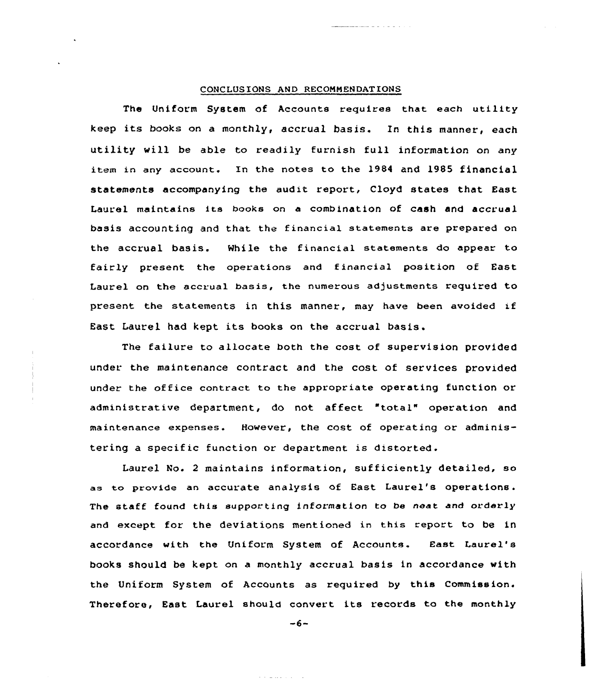#### CONCLUSIONS AND RECONHENDATIONS

The Uniform System of Accounts requires that each utility keep its books on <sup>a</sup> monthly, accrual basis. In this manner, each utility will be able to readily furnish full information on any item in any account. In the notes to the 1984 and 1985 financial statements accompanying the audit report, Cloyd states that East Laurel maintains its books on a combination of cash and accrual basis accounting and that the financial statements are prepared on the accrual basis. While the financial statements do appear to fairly present the operations and financial position of East Laurel on the accrual basis, the numerous adjustments required to present the statements in this manner, may have been avoided if East Laurel had kept its books on the accrual basis.

The failure to allocate both the cost of supervision provided under the maintenance contract and the cost of services provided under the office contract to the appropriate operating function or administrative department, do not affect "total" operation and maintenance expenses. However, the cost of operating or administering a specific function or department is distorted.

Laurel No. <sup>2</sup> maintains information, sufficiently detailed, so as to provide an accurate analysis of East Laurel's operations. The staff found this supporting information to be neat and ordarly and except for the deviations mentioned in this report to be in accordance with the Uniform System of Accounts. East Laurel's books should be kept on a monthly accrual basis in accordance with the Uniform System of Accounts as required by this Commission. Therefore, East Laurel should convert its records to the monthly

 $-6-$ 

and a market of the